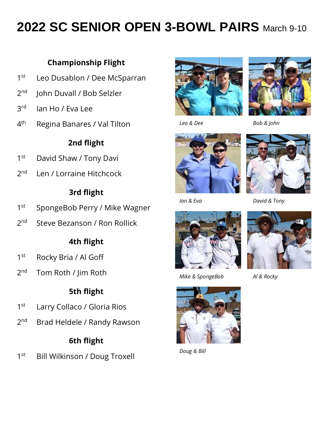# **2022 SC SENIOR OPEN 3-BOWL PAIRS** March 9-10

## **Championship Flight**

- $1<sup>st</sup>$ Leo Dusablon / Dee McSparran
- $2<sub>nd</sub>$ John Duvall / Bob Selzler
- 3rd lan Ho / Eva Lee
- $4<sup>th</sup>$ Regina Banares / Val Tilton

## **2nd flight**

- $1<sup>st</sup>$ David Shaw / Tony Davi
- $2<sub>nd</sub>$ Len / Lorraine Hitchcock

#### **3rd flight**

- $1<sup>st</sup>$ SpongeBob Perry / Mike Wagner
- $2<sub>nd</sub>$ Steve Bezanson / Ron Rollick

#### **4th flight**

- $1<sup>st</sup>$ Rocky Bria / Al Goff
- $2<sub>nd</sub>$ Tom Roth / Jim Roth

#### **5th flight**

- $1<sup>st</sup>$ Larry Collaco / Gloria Rios
- $2<sub>nd</sub>$ Brad Heldele / Randy Rawson

#### **6th flight**

 $1<sup>st</sup>$ Bill Wilkinson / Doug Troxell





 *Leo & Dee Bob & John*





 *Ian & Eva David & Tony*



 *Mike & SpongeBob Al & Rocky*





 *Doug & Bill*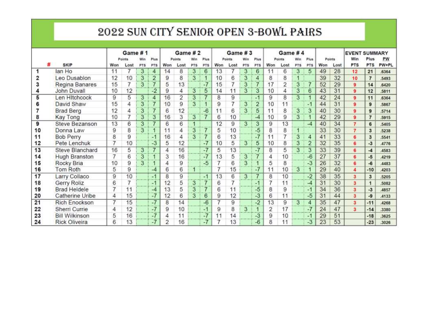# 2022 SUN CITY SENIOR OPEN 3-BOWL PAIRS

|    | Game #1               |                |        |            | Game #2        |     |        |     | Game #3        |     |        |                | Game #4             |     |                |                |                |     | <b>EVENT SUMMARY</b> |                         |                |       |
|----|-----------------------|----------------|--------|------------|----------------|-----|--------|-----|----------------|-----|--------|----------------|---------------------|-----|----------------|----------------|----------------|-----|----------------------|-------------------------|----------------|-------|
|    |                       |                | Points | Win        | Plus           |     | Points | Win | Plus           |     | Points |                | Plus                |     | Points         | Win            | Plus           |     | Points               | Win                     | Plus           | PW    |
|    | <b>SKIP</b>           | Won            | Lost   | <b>PTS</b> | PTS            | Won | Lost   | PTS | PTS            | Won | Lost   | <b>PTS</b>     | PTS                 | Won | Lost           | PTS            | PTS            | Won | Lost                 | <b>PTS</b>              | <b>PTS</b>     | PW+PL |
|    | lan Ho                | 11             |        | 3          | 4              | 14  | 8      | 3   | 6              | 13  | 7      | 3              | 6                   | 11  | 6              | 3              | 5              | 49  | 28                   | 12                      | 21             | 6364  |
| 2  | Leo Dusablon          | 12             | 10     | 3          | $\overline{2}$ | 9   | 8      | 3   |                | 10  | 6      | 3              | 4                   | 8   | 8              | 1              |                | 39  | 32                   | 10                      | $\overline{7}$ | .5493 |
| 3  | Regina Banares        | 15             | 7      | 3          | 7              | 5   | 13     |     | $-7$           | 15  | 7      | 3              | $\overline{7}$      | 17  | $\overline{2}$ | 3              | 7              | 52  | 29                   | 9                       | 14             | 6420  |
|    | John Duvall           | 10             | 12     |            | $-2$           | 9   | 4      | 3   | 5              | 14  | 11     | 3              | 3                   | 10  | 4              | 3              | 6              | 43  | 31                   | 9                       | 12             | 5811  |
| 5  | Len Hitchcock         | 9              | 5      | 3          | 4              | 16  | 2      | 3   |                | 8   | 9      |                | $-1$                | 9   | 8              | 3              |                | 42  | 24                   | 9                       | 11             | 6364  |
| 6  | David Shaw            | 15             | 4      | 3          | 7              | 10  | 9      | 3   |                | 9   | 7      | 3              | $\overline{2}$      | 10  | 11             |                | $-1$           | 44  | 31                   | 9                       | $\mathbf{9}$   | 5867  |
|    | <b>Brad Berg</b>      | 12             | 4      | 3          | $7\phantom{.}$ | 6   | 12     |     | $-6$           | 11  | 6      | 3              | 5                   | 11  | 8              | 3              | 3              | 40  | 30                   | 9                       | $\mathbf{9}$   | .5714 |
| 8  | Kay Tong              | 10             |        | 3          | 3              | 16  | 3      | 3   | 7              | 6   | 10     |                | $-4$                | 10  | 9              | 3              |                | 42  | 29                   | 9                       | $\overline{7}$ | 5915  |
| 9  | Steve Bezanson        | 13             | 6      | 3          | $\overline{7}$ | 6   | 6      | 1   |                | 12  | 9      | 3              | 3                   | 9.  | 13             |                | $-4$           | 40  | 34                   | 7                       | 6              | 5405  |
| 10 | Donna Law             | 9              | 8      | 3          |                | 11  | 4      | 3   | $\overline{7}$ | 5   | 10     |                | $-5$                | 8   | 8              | $\mathbf{1}$   |                | 33  | 30                   | 7                       | 3              | 5238  |
| 11 | <b>Bob Perry</b>      | 8              | 9      |            | $-1$           | 16  | 4      | 3   | 7              | 6   | 13     |                | $-7$                | 11  | ァ              | $\overline{3}$ | 4              | 41  | 33                   | 6                       | 3              | .5541 |
| 12 | Pete Lenchuk          | $\overline{7}$ | 10     |            | $-3$           | 5   | 12     |     | $-7$           | 10  | 5      | 3 <sup>1</sup> | 5                   | 10  | 8              | 3              | $\overline{2}$ | 32  | 35                   | Ğ.                      | $-3$           | .4776 |
| 13 | Steve Blanchard       | 16             | 5      | 3          | $\overline{7}$ | 4   | 16     |     | $-7$           | 5   | 13     |                | $-7$                | 8   | 5              | 3              | 3.             | 33  | 39                   | 6                       | -4             | .4583 |
| 14 | <b>Hugh Branston</b>  | $\overline{7}$ | 6      | 3          | $\blacksquare$ | 3   | 16     |     | $-7$           | 13  | 5      | 3              | $\overline{7}$      | 4   | 10             |                | $-6$           | 27  | 37                   | 6                       | $-5$           | .4219 |
| 15 | Rocky Bria            | 10             | 9      | 3          | 4              | Δ   | 9      |     | $-5$           | 7   | 6      | 3              | $\ddot{\mathbf{1}}$ | 5   | 8              |                | $-3$           | 26  | 32                   | 6                       | $-6$           | .4483 |
| 16 | Tom Roth              | 5              | 9      |            | $-4$           | 6   | 6      | 1   |                | 7   | 15     |                | $-7$                | 11  | 10             | 3              |                | 29  | 40                   | 4                       | $-10$          | .4203 |
| 17 | Larry Collaco         | 9              | 10     |            | $-1$           | 8   | 9      |     | -1             | 13  | 6      | 3              | 7                   | 8   | 10             |                | $-2$           | 38  | 35                   | 3 <sup>1</sup>          | 3              | 5205  |
| 18 | Gerry Roliz           | 6              |        |            | $-1$           | 12  | 5      | 3   | $\overline{7}$ | 6   | 7      |                | $-1$                |     | 11             |                | $-4$           | 31  | 30                   | 3                       | $\mathbf{1}$   | 5082  |
| 19 | <b>Brad Heldele</b>   | 7              | 11     |            | $-4$           | 13  | 5      | 3   | 7              | 6   | 11     |                | $-5$                | 8   | 9              |                | $-1$           | 34  | 36                   | 3                       | $-3$           | .4857 |
| 20 | Catherine Uribe       | 4              | 15     |            | $-7$           | 12  | 6      | 3   | 6              | 9   | 12     |                | $-3$                | 6   | 11             |                | $-5$           | 31  | 44                   | 3 <sup>5</sup>          | -9             | .4133 |
| 21 | <b>Rich Enockson</b>  | 7              | 15     |            | -7             | 8   | 14     |     | $-6$           | 7   | 9      |                | $-2$                | 13  | 9              | 3              | 4              | 35  | 47                   | $\overline{\mathbf{3}}$ | $-11$          | .4268 |
| 22 | Sherri Currie         | 4              | 12     |            | $-7$           | 9   | 10     |     | $-1$           | 9   | 8      | 3              | $\mathbf{1}$        | 2   | 17             |                | $-7$           | 24  | 47                   | 3                       | $-14$          | .3380 |
| 23 | <b>Bill Wilkinson</b> | 5              | 16     |            | $-7$           | 4   | 11     |     | $-7$           | 11  | 14     |                | $-3$                | 9   | 10             |                | $-1$           | 29  | 51                   |                         | $-18$          | .3625 |
| 24 | <b>Rick Oliveira</b>  | 6              | 13     |            | $-7$           | 2   | 16     |     | $-7$           | 7   | 13     |                | $-6$                | 8   | 11             |                | $-3$           | 23  | 53                   |                         | $-23$          | .3026 |